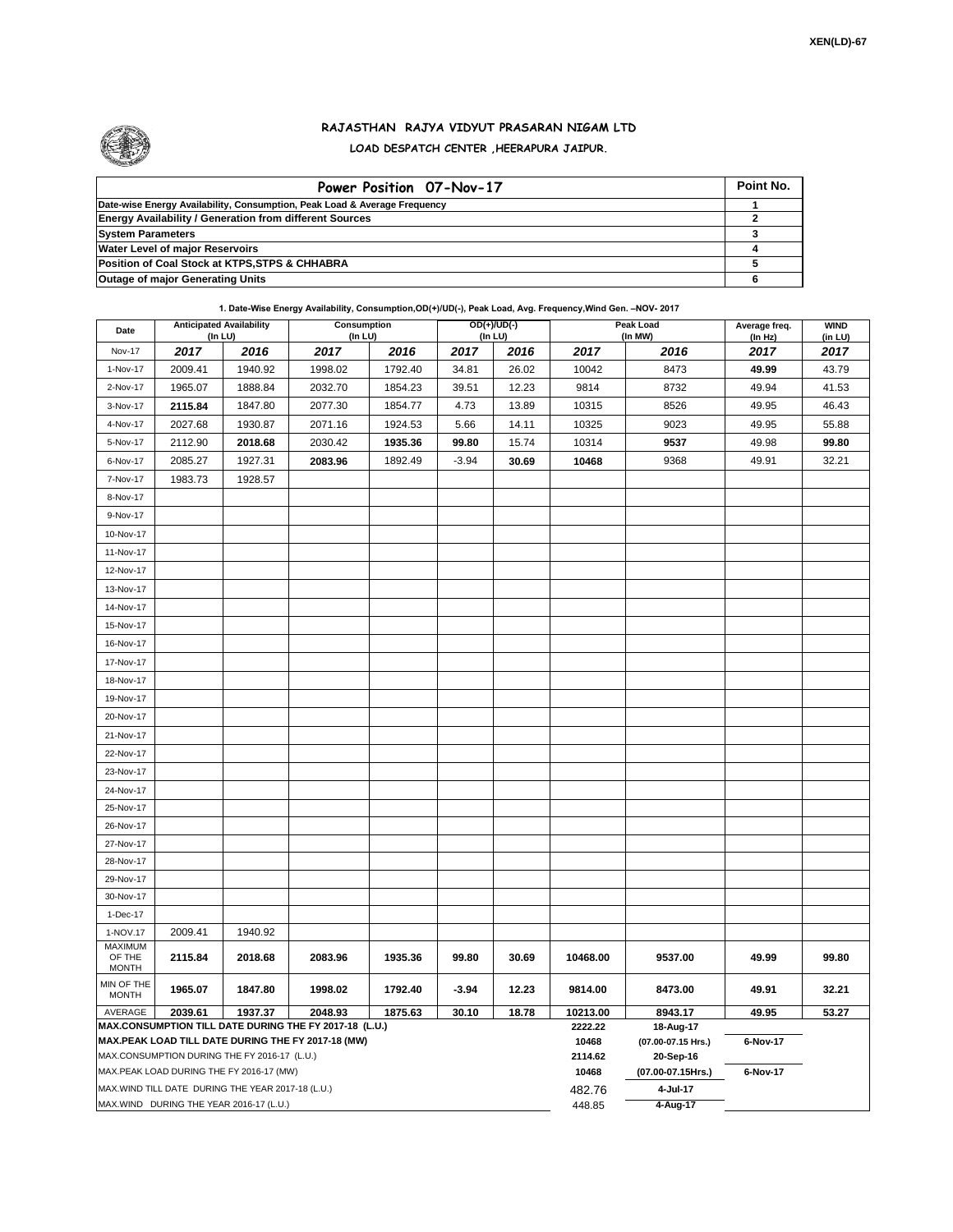

## **RAJASTHAN RAJYA VIDYUT PRASARAN NIGAM LTD LOAD DESPATCH CENTER ,HEERAPURA JAIPUR.**

| Power Position 07-Nov-17                                                  | Point No. |
|---------------------------------------------------------------------------|-----------|
| Date-wise Energy Availability, Consumption, Peak Load & Average Frequency |           |
| <b>Energy Availability / Generation from different Sources</b>            |           |
| <b>System Parameters</b>                                                  |           |
| <b>Water Level of major Reservoirs</b>                                    |           |
| Position of Coal Stock at KTPS, STPS & CHHABRA                            |           |
| <b>Outage of major Generating Units</b>                                   |           |

**1. Date-Wise Energy Availability, Consumption,OD(+)/UD(-), Peak Load, Avg. Frequency,Wind Gen. –NOV- 2017**

| Date                                                                                                         | <b>Anticipated Availability</b><br>(In LU) |         | Consumption<br>(In LU) |         | OD(+)/UD(-)<br>$($ In LU $)$ |       |                     | Peak Load<br>(In MW)            | Average freq.<br>(ln Hz) | <b>WIND</b><br>(in LU) |
|--------------------------------------------------------------------------------------------------------------|--------------------------------------------|---------|------------------------|---------|------------------------------|-------|---------------------|---------------------------------|--------------------------|------------------------|
| <b>Nov-17</b>                                                                                                | 2017                                       | 2016    | 2017                   | 2016    | 2017                         | 2016  | 2017                | 2016                            | 2017                     | 2017                   |
| 1-Nov-17                                                                                                     | 2009.41                                    | 1940.92 | 1998.02                | 1792.40 | 34.81                        | 26.02 | 10042               | 8473                            | 49.99                    | 43.79                  |
| 2-Nov-17                                                                                                     | 1965.07                                    | 1888.84 | 2032.70                | 1854.23 | 39.51                        | 12.23 | 9814                | 8732                            | 49.94                    | 41.53                  |
| 3-Nov-17                                                                                                     | 2115.84                                    | 1847.80 | 2077.30                | 1854.77 | 4.73                         | 13.89 | 10315               | 8526                            | 49.95                    | 46.43                  |
| 4-Nov-17                                                                                                     | 2027.68                                    | 1930.87 | 2071.16                | 1924.53 | 5.66                         | 14.11 | 10325               | 9023                            | 49.95                    | 55.88                  |
| 5-Nov-17                                                                                                     | 2112.90                                    | 2018.68 | 2030.42                | 1935.36 | 99.80                        | 15.74 | 10314               | 9537                            | 49.98                    | 99.80                  |
| 6-Nov-17                                                                                                     | 2085.27                                    | 1927.31 | 2083.96                | 1892.49 | $-3.94$                      | 30.69 | 10468               | 9368                            | 49.91                    | 32.21                  |
| 7-Nov-17                                                                                                     | 1983.73                                    | 1928.57 |                        |         |                              |       |                     |                                 |                          |                        |
| 8-Nov-17                                                                                                     |                                            |         |                        |         |                              |       |                     |                                 |                          |                        |
| 9-Nov-17                                                                                                     |                                            |         |                        |         |                              |       |                     |                                 |                          |                        |
| 10-Nov-17                                                                                                    |                                            |         |                        |         |                              |       |                     |                                 |                          |                        |
| 11-Nov-17                                                                                                    |                                            |         |                        |         |                              |       |                     |                                 |                          |                        |
| 12-Nov-17                                                                                                    |                                            |         |                        |         |                              |       |                     |                                 |                          |                        |
| 13-Nov-17                                                                                                    |                                            |         |                        |         |                              |       |                     |                                 |                          |                        |
| 14-Nov-17                                                                                                    |                                            |         |                        |         |                              |       |                     |                                 |                          |                        |
| 15-Nov-17                                                                                                    |                                            |         |                        |         |                              |       |                     |                                 |                          |                        |
| 16-Nov-17                                                                                                    |                                            |         |                        |         |                              |       |                     |                                 |                          |                        |
| 17-Nov-17                                                                                                    |                                            |         |                        |         |                              |       |                     |                                 |                          |                        |
| 18-Nov-17                                                                                                    |                                            |         |                        |         |                              |       |                     |                                 |                          |                        |
| 19-Nov-17                                                                                                    |                                            |         |                        |         |                              |       |                     |                                 |                          |                        |
| 20-Nov-17                                                                                                    |                                            |         |                        |         |                              |       |                     |                                 |                          |                        |
| 21-Nov-17                                                                                                    |                                            |         |                        |         |                              |       |                     |                                 |                          |                        |
| 22-Nov-17                                                                                                    |                                            |         |                        |         |                              |       |                     |                                 |                          |                        |
| 23-Nov-17                                                                                                    |                                            |         |                        |         |                              |       |                     |                                 |                          |                        |
| 24-Nov-17                                                                                                    |                                            |         |                        |         |                              |       |                     |                                 |                          |                        |
| 25-Nov-17                                                                                                    |                                            |         |                        |         |                              |       |                     |                                 |                          |                        |
| 26-Nov-17                                                                                                    |                                            |         |                        |         |                              |       |                     |                                 |                          |                        |
| 27-Nov-17                                                                                                    |                                            |         |                        |         |                              |       |                     |                                 |                          |                        |
| 28-Nov-17                                                                                                    |                                            |         |                        |         |                              |       |                     |                                 |                          |                        |
| 29-Nov-17                                                                                                    |                                            |         |                        |         |                              |       |                     |                                 |                          |                        |
| 30-Nov-17                                                                                                    |                                            |         |                        |         |                              |       |                     |                                 |                          |                        |
| 1-Dec-17                                                                                                     |                                            |         |                        |         |                              |       |                     |                                 |                          |                        |
| 1-NOV.17                                                                                                     | 2009.41                                    | 1940.92 |                        |         |                              |       |                     |                                 |                          |                        |
| <b>MAXIMUM</b><br>OF THE<br><b>MONTH</b>                                                                     | 2115.84                                    | 2018.68 | 2083.96                | 1935.36 | 99.80                        | 30.69 | 10468.00            | 9537.00                         | 49.99                    | 99.80                  |
| MIN OF THE<br><b>MONTH</b>                                                                                   | 1965.07                                    | 1847.80 | 1998.02                | 1792.40 | $-3.94$                      | 12.23 | 9814.00             | 8473.00                         | 49.91                    | 32.21                  |
| AVERAGE                                                                                                      | 2039.61                                    | 1937.37 | 2048.93                | 1875.63 | 30.10                        | 18.78 | 10213.00<br>2222.22 | 8943.17                         | 49.95                    | 53.27                  |
| MAX.CONSUMPTION TILL DATE DURING THE FY 2017-18 (L.U.)<br>MAX.PEAK LOAD TILL DATE DURING THE FY 2017-18 (MW) |                                            |         |                        |         |                              |       |                     | 18-Aug-17<br>(07.00-07.15 Hrs.) | 6-Nov-17                 |                        |
| MAX.CONSUMPTION DURING THE FY 2016-17 (L.U.)                                                                 |                                            |         |                        |         |                              |       |                     | 20-Sep-16                       |                          |                        |
| MAX.PEAK LOAD DURING THE FY 2016-17 (MW)                                                                     |                                            |         |                        |         |                              |       |                     | (07.00-07.15Hrs.)               | 6-Nov-17                 |                        |
| MAX.WIND TILL DATE DURING THE YEAR 2017-18 (L.U.)                                                            |                                            |         |                        |         |                              |       |                     | 4-Jul-17                        |                          |                        |
| MAX.WIND DURING THE YEAR 2016-17 (L.U.)                                                                      |                                            |         |                        |         |                              |       |                     | 4-Aug-17                        |                          |                        |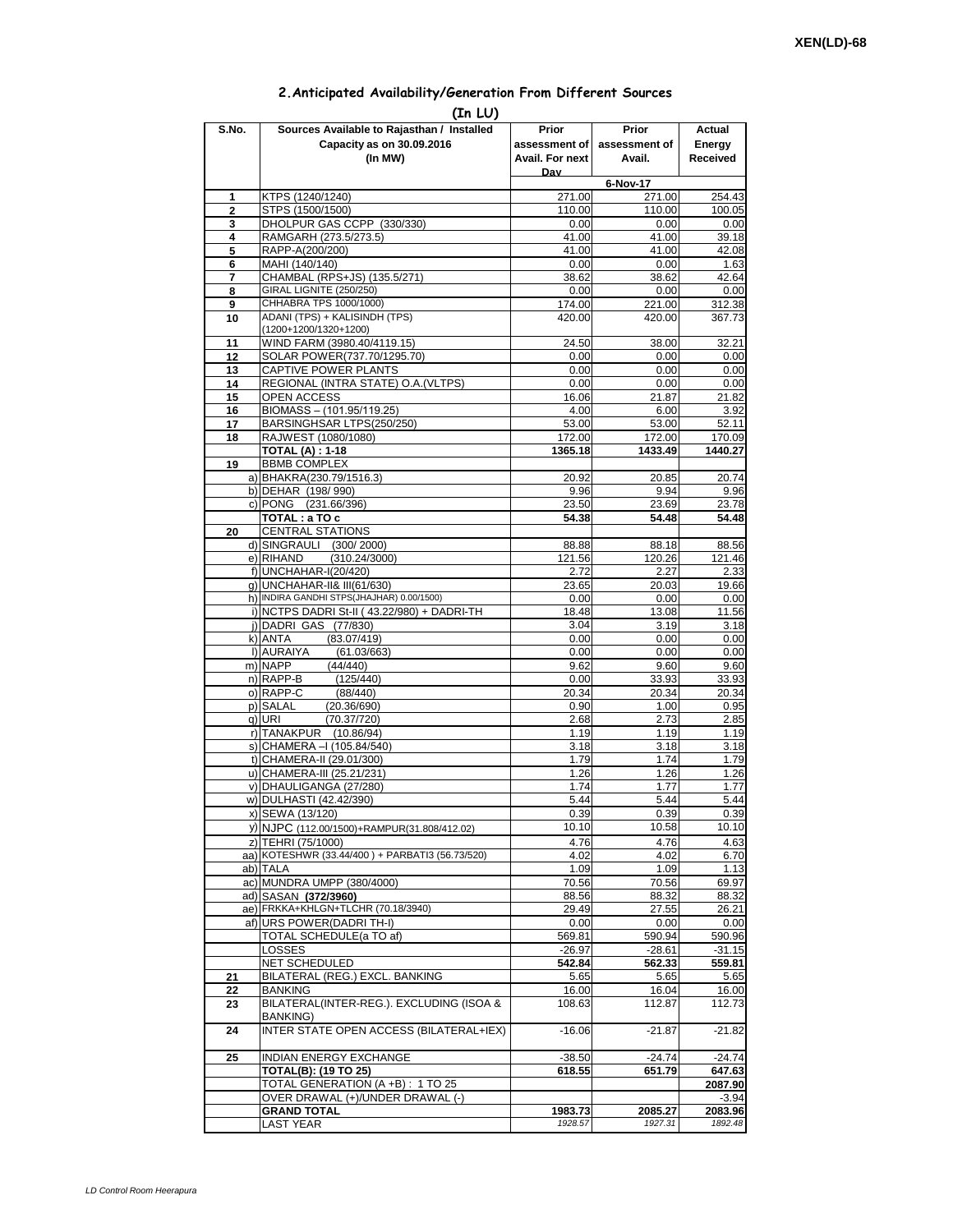## **2.Anticipated Availability/Generation From Different Sources**

| (In LU)        |                                                                  |                    |                    |                    |  |  |  |  |  |
|----------------|------------------------------------------------------------------|--------------------|--------------------|--------------------|--|--|--|--|--|
| S.No.          | Sources Available to Rajasthan / Installed                       | Prior              | Prior              | Actual             |  |  |  |  |  |
|                | Capacity as on 30.09.2016                                        | assessment of I    | assessment of      | Energy             |  |  |  |  |  |
|                | (In MW)                                                          | Avail. For next    | Avail.             | Received           |  |  |  |  |  |
|                |                                                                  | Dav                | 6-Nov-17           |                    |  |  |  |  |  |
| 1              | KTPS (1240/1240)                                                 | 271.00             | 271.00             | 254.43             |  |  |  |  |  |
| $\overline{2}$ | STPS (1500/1500)                                                 | 110.00             | 110.00             | 100.05             |  |  |  |  |  |
| 3              | DHOLPUR GAS CCPP (330/330)                                       | 0.00               | 0.00               | 0.00               |  |  |  |  |  |
| 4<br>5         | RAMGARH (273.5/273.5)<br>RAPP-A(200/200)                         | 41.00<br>41.00     | 41.00<br>41.00     | 39.18<br>42.08     |  |  |  |  |  |
| 6              | MAHI (140/140)                                                   | 0.00               | 0.00               | 1.63               |  |  |  |  |  |
| 7              | CHAMBAL (RPS+JS) (135.5/271)                                     | 38.62              | 38.62              | 42.64              |  |  |  |  |  |
| 8              | GIRAL LIGNITE (250/250)                                          | 0.00               | 0.00               | 0.00               |  |  |  |  |  |
| 9              | CHHABRA TPS 1000/1000)<br>ADANI (TPS) + KALISINDH (TPS)          | 174.00             | 221.00             | 312.38             |  |  |  |  |  |
| 10             | (1200+1200/1320+1200)                                            | 420.00             | 420.00             | 367.73             |  |  |  |  |  |
| 11             | WIND FARM (3980.40/4119.15)                                      | 24.50              | 38.00              | 32.21              |  |  |  |  |  |
| 12             | SOLAR POWER(737.70/1295.70)                                      | 0.00               | 0.00               | 0.00               |  |  |  |  |  |
| 13             | CAPTIVE POWER PLANTS                                             | 0.00               | 0.00               | 0.00               |  |  |  |  |  |
| 14<br>15       | REGIONAL (INTRA STATE) O.A. (VLTPS)<br><b>OPEN ACCESS</b>        | 0.00<br>16.06      | 0.00<br>21.87      | 0.00<br>21.82      |  |  |  |  |  |
| 16             | BIOMASS - (101.95/119.25)                                        | 4.00               | 6.00               | 3.92               |  |  |  |  |  |
| 17             | BARSINGHSAR LTPS(250/250)                                        | 53.00              | 53.00              | 52.11              |  |  |  |  |  |
| 18             | RAJWEST (1080/1080)                                              | 172.00             | 172.00             | 170.09             |  |  |  |  |  |
|                | <b>TOTAL (A): 1-18</b>                                           | 1365.18            | 1433.49            | 1440.27            |  |  |  |  |  |
| 19             | <b>BBMB COMPLEX</b><br>a) BHAKRA(230.79/1516.3)                  | 20.92              | 20.85              | 20.74              |  |  |  |  |  |
|                | b) DEHAR (198/990)                                               | 9.96               | 9.94               | 9.96               |  |  |  |  |  |
|                | c) PONG (231.66/396)                                             | 23.50              | 23.69              | 23.78              |  |  |  |  |  |
|                | TOTAL: a TO c                                                    | 54.38              | 54.48              | 54.48              |  |  |  |  |  |
| 20             | <b>CENTRAL STATIONS</b>                                          |                    |                    |                    |  |  |  |  |  |
|                | d) SINGRAULI (300/2000)<br>e) RIHAND<br>(310.24/3000)            | 88.88<br>121.56    | 88.18<br>120.26    | 88.56<br>121.46    |  |  |  |  |  |
|                | f) UNCHAHAR-I(20/420)                                            | 2.72               | 2.27               | 2.33               |  |  |  |  |  |
|                | g) UNCHAHAR-II& III(61/630)                                      | 23.65              | 20.03              | 19.66              |  |  |  |  |  |
|                | h) INDIRA GANDHI STPS(JHAJHAR) 0.00/1500)                        | 0.00               | 0.00               | 0.00               |  |  |  |  |  |
|                | i) NCTPS DADRI St-II (43.22/980) + DADRI-TH                      | 18.48              | 13.08              | 11.56              |  |  |  |  |  |
|                | j) DADRI GAS (77/830)<br>(83.07/419)<br>k) ANTA                  | 3.04<br>0.00       | 3.19<br>0.00       | 3.18<br>0.00       |  |  |  |  |  |
|                | I) AURAIYA<br>(61.03/663)                                        | 0.00               | 0.00               | 0.00               |  |  |  |  |  |
|                | m) NAPP<br>(44/440)                                              | 9.62               | 9.60               | 9.60               |  |  |  |  |  |
|                | n) RAPP-B<br>(125/440)                                           | 0.00               | 33.93              | 33.93              |  |  |  |  |  |
|                | o) RAPP-C<br>(88/440)<br>p) SALAL<br>(20.36/690)                 | 20.34<br>0.90      | 20.34<br>1.00      | 20.34<br>0.95      |  |  |  |  |  |
|                | q) URI<br>(70.37/720)                                            | 2.68               | 2.73               | 2.85               |  |  |  |  |  |
|                | r) TANAKPUR (10.86/94)                                           | 1.19               | 1.19               | 1.19               |  |  |  |  |  |
|                | s) CHAMERA - (105.84/540)                                        | 3.18               | 3.18               | 3.18               |  |  |  |  |  |
|                | t) CHAMERA-II (29.01/300)                                        | 1.79               | 1.74               | 1.79               |  |  |  |  |  |
|                | u) CHAMERA-III (25.21/231)<br>v) DHAULIGANGA (27/280)            | 1.26<br>1.74       | 1.26<br>1.77       | 1.26<br>1.77       |  |  |  |  |  |
|                | w) DULHASTI (42.42/390)                                          | 5.44               | 5.44               | 5.44               |  |  |  |  |  |
|                | x) SEWA (13/120)                                                 | 0.39               | 0.39               | 0.39               |  |  |  |  |  |
|                | y) NJPC (112.00/1500)+RAMPUR(31.808/412.02)                      | 10.10              | 10.58              | 10.10              |  |  |  |  |  |
|                | z) TEHRI (75/1000)                                               | 4.76               | 4.76               | 4.63               |  |  |  |  |  |
|                | aa) KOTESHWR (33.44/400) + PARBATI3 (56.73/520)                  | 4.02               | 4.02               | 6.70               |  |  |  |  |  |
|                | ab) TALA<br>ac) MUNDRA UMPP (380/4000)                           | 1.09<br>70.56      | 1.09<br>70.56      | 1.13<br>69.97      |  |  |  |  |  |
|                | ad) SASAN (372/3960)                                             | 88.56              | 88.32              | 88.32              |  |  |  |  |  |
|                | ae) FRKKA+KHLGN+TLCHR (70.18/3940)                               | 29.49              | 27.55              | 26.21              |  |  |  |  |  |
|                | af) URS POWER(DADRITH-I)                                         | 0.00               | 0.00               | 0.00               |  |  |  |  |  |
|                | TOTAL SCHEDULE(a TO af)                                          | 569.81             | 590.94             | 590.96             |  |  |  |  |  |
|                | LOSSES<br><b>NET SCHEDULED</b>                                   | $-26.97$<br>542.84 | $-28.61$<br>562.33 | $-31.15$<br>559.81 |  |  |  |  |  |
| 21             | BILATERAL (REG.) EXCL. BANKING                                   | 5.65               | 5.65               | 5.65               |  |  |  |  |  |
| 22             | BANKING                                                          | 16.00              | 16.04              | 16.00              |  |  |  |  |  |
| 23             | BILATERAL(INTER-REG.). EXCLUDING (ISOA &                         | 108.63             | 112.87             | 112.73             |  |  |  |  |  |
| 24             | BANKING)<br>INTER STATE OPEN ACCESS (BILATERAL+IEX)              | $-16.06$           | $-21.87$           | $-21.82$           |  |  |  |  |  |
|                |                                                                  |                    |                    |                    |  |  |  |  |  |
| 25             | <b>INDIAN ENERGY EXCHANGE</b>                                    | $-38.50$           | $-24.74$           | $-24.74$           |  |  |  |  |  |
|                | <b>TOTAL(B): (19 TO 25)</b><br>TOTAL GENERATION (A +B) : 1 TO 25 | 618.55             | 651.79             | 647.63<br>2087.90  |  |  |  |  |  |
|                | OVER DRAWAL (+)/UNDER DRAWAL (-)                                 |                    |                    | $-3.94$            |  |  |  |  |  |
|                | <b>GRAND TOTAL</b>                                               | 1983.73            | 2085.27            | 2083.96            |  |  |  |  |  |
|                | <b>LAST YEAR</b>                                                 | 1928.57            | 1927.31            | 1892.48            |  |  |  |  |  |